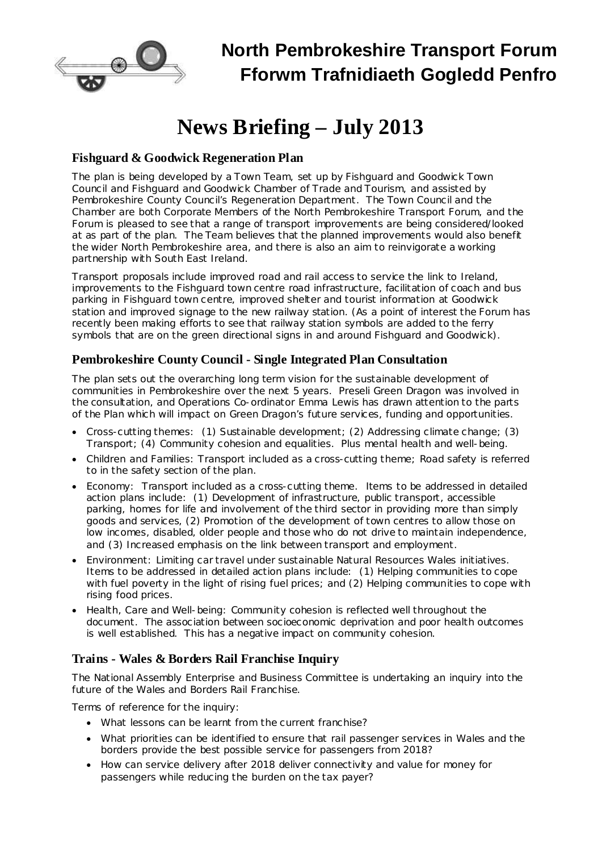

# **News Briefing – July 2013**

## **Fishguard & Goodwick Regeneration Plan**

The plan is being developed by a Town Team, set up by Fishguard and Goodwick Town Council and Fishguard and Goodwick Chamber of Trade and Tourism, and assisted by Pembrokeshire County Council's Regeneration Department. The Town Council and the Chamber are both Corporate Members of the North Pembrokeshire Transport Forum, and the Forum is pleased to see that a range of transport improvements are being considered/looked at as part of the plan. The Team believes that the planned improvements would also benefit the wider North Pembrokeshire area, and there is also an aim to reinvigorate a working partnership with South East Ireland.

Transport proposals include improved road and rail access to service the link to Ireland, improvements to the Fishguard town centre road infrastructure, facilitation of coach and bus parking in Fishguard town centre, improved shelter and tourist information at Goodwick station and improved signage to the new railway station. (As a point of interest the Forum has recently been making efforts to see that railway station symbols are added to the ferry symbols that are on the green directional signs in and around Fishguard and Goodwick).

### **Pembrokeshire County Council - Single Integrated Plan Consultation**

The plan sets out the overarching long term vision for the sustainable development of communities in Pembrokeshire over the next 5 years. Preseli Green Dragon was involved in the consultation, and Operations Co-ordinator Emma Lewis has drawn attention to the parts of the Plan which will impact on Green Dragon's future services, funding and opportunities.

- · Cross-cutting themes: (1) Sustainable development; (2) Addressing climate change; (3) Transport; (4) Community cohesion and equalities. Plus mental health and well-being.
- · Children and Families: Transport included as a cross-cutting theme; Road safety is referred to in the safety section of the plan.
- · Economy: Transport included as a cross-cutting theme. Items to be addressed in detailed action plans include: (1) Development of infrastructure, public transport, accessible parking, homes for life and involvement of the third sector in providing more than simply goods and services, (2) Promotion of the development of town centres to allow those on low incomes, disabled, older people and those who do not drive to maintain independence, and (3) Increased emphasis on the link between transport and employment.
- · Environment: Limiting car travel under sustainable Natural Resources Wales initiatives. Items to be addressed in detailed action plans include: (1) Helping communities to cope with fuel poverty in the light of rising fuel prices; and (2) Helping communities to cope with rising food prices.
- · Health, Care and Well-being: Community cohesion is reflected well throughout the document. The association between socioeconomic deprivation and poor health outcomes is well established. This has a negative impact on community cohesion.

## **Trains - Wales & Borders Rail Franchise Inquiry**

The National Assembly Enterprise and Business Committee is undertaking an inquiry into the future of the Wales and Borders Rail Franchise.

Terms of reference for the inquiry:

- · What lessons can be learnt from the current franchise?
- · What priorities can be identified to ensure that rail passenger services in Wales and the borders provide the best possible service for passengers from 2018?
- · How can service delivery after 2018 deliver connectivity and value for money for passengers while reducing the burden on the tax payer?